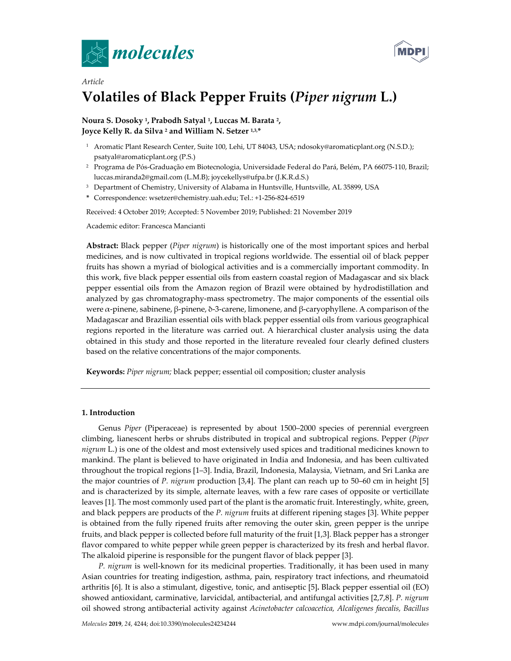

*Article* 



# **Volatiles of Black Pepper Fruits (***Piper nigrum* **L.)**

# **Noura S. Dosoky 1, Prabodh Satyal 1, Luccas M. Barata 2, Joyce Kelly R. da Silva 2 and William N. Setzer 1,3,\***

- <sup>1</sup> Aromatic Plant Research Center, Suite 100, Lehi, UT 84043, USA; ndosoky@aromaticplant.org (N.S.D.); psatyal@aromaticplant.org (P.S.)
- 2 Programa de Pós-Graduação em Biotecnologia, Universidade Federal do Pará, Belém, PA 66075-110, Brazil; luccas.miranda2@gmail.com (L.M.B); joycekellys@ufpa.br (J.K.R.d.S.)
- 3 Department of Chemistry, University of Alabama in Huntsville, Huntsville, AL 35899, USA
- **\*** Correspondence: wsetzer@chemistry.uah.edu; Tel.: +1-256-824-6519

Received: 4 October 2019; Accepted: 5 November 2019; Published: 21 November 2019

Academic editor: Francesca Mancianti

**Abstract:** Black pepper (*Piper nigrum*) is historically one of the most important spices and herbal medicines, and is now cultivated in tropical regions worldwide. The essential oil of black pepper fruits has shown a myriad of biological activities and is a commercially important commodity. In this work, five black pepper essential oils from eastern coastal region of Madagascar and six black pepper essential oils from the Amazon region of Brazil were obtained by hydrodistillation and analyzed by gas chromatography-mass spectrometry. The major components of the essential oils were α-pinene, sabinene, β-pinene, δ-3-carene, limonene, and β-caryophyllene. A comparison of the Madagascar and Brazilian essential oils with black pepper essential oils from various geographical regions reported in the literature was carried out. A hierarchical cluster analysis using the data obtained in this study and those reported in the literature revealed four clearly defined clusters based on the relative concentrations of the major components.

**Keywords:** *Piper nigrum;* black pepper; essential oil composition; cluster analysis

## **1. Introduction**

Genus *Piper* (Piperaceae) is represented by about 1500–2000 species of perennial evergreen climbing, lianescent herbs or shrubs distributed in tropical and subtropical regions. Pepper (*Piper nigrum* L.) is one of the oldest and most extensively used spices and traditional medicines known to mankind. The plant is believed to have originated in India and Indonesia, and has been cultivated throughout the tropical regions [1–3]. India, Brazil, Indonesia, Malaysia, Vietnam, and Sri Lanka are the major countries of *P. nigrum* production [3,4]. The plant can reach up to 50–60 cm in height [5] and is characterized by its simple, alternate leaves, with a few rare cases of opposite or verticillate leaves [1]. The most commonly used part of the plant is the aromatic fruit. Interestingly, white, green, and black peppers are products of the *P. nigrum* fruits at different ripening stages [3]. White pepper is obtained from the fully ripened fruits after removing the outer skin, green pepper is the unripe fruits, and black pepper is collected before full maturity of the fruit [1,3]. Black pepper has a stronger flavor compared to white pepper while green pepper is characterized by its fresh and herbal flavor. The alkaloid piperine is responsible for the pungent flavor of black pepper [3].

*P. nigrum* is well-known for its medicinal properties. Traditionally, it has been used in many Asian countries for treating indigestion, asthma, pain, respiratory tract infections, and rheumatoid arthritis [6]. It is also a stimulant, digestive, tonic, and antiseptic [5]**.** Black pepper essential oil (EO) showed antioxidant, carminative, larvicidal, antibacterial, and antifungal activities [2,7,8]. *P. nigrum* oil showed strong antibacterial activity against *Acinetobacter calcoacetica, Alcaligenes faecalis, Bacillus*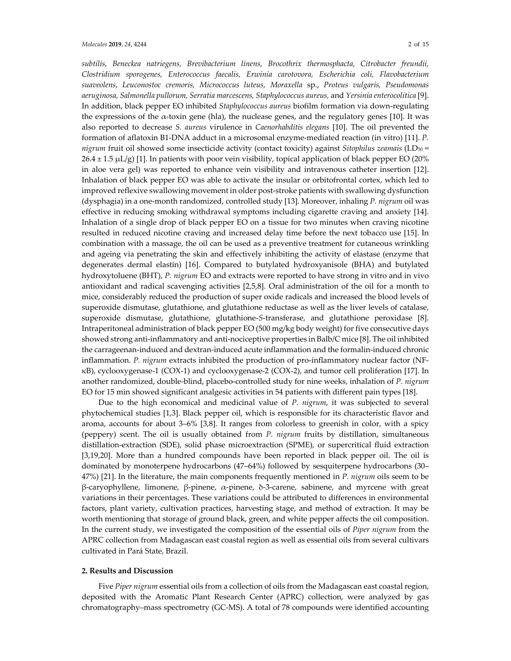*subtilis, Beneckea natriegens, Brevibacterium linens, Brocothrix thermosphacta, Citrobacter freundii, Clostridium sporogenes, Enterococcus faecalis, Erwinia carotovora, Escherichia coli, Flavobacterium suaveolens, Leuconostoc cremoris, Micrococcus luteus, Moraxella* sp., *Proteus vulgaris, Pseudomonas aeruginosa, Salmonella pullorum, Serratia marcescens, Staphylococcus aureus,* and *Yersinia enterocolitica* [9]. In addition, black pepper EO inhibited *Staphylococcus aureus* biofilm formation via down-regulating the expressions of the  $\alpha$ -toxin gene (hla), the nuclease genes, and the regulatory genes [10]. It was also reported to decrease *S. aureus* virulence in *Caenorhabditis elegans* [10]. The oil prevented the formation of aflatoxin B1-DNA adduct in a microsomal enzyme-mediated reaction (in vitro) [11]. *P. nigrum* fruit oil showed some insecticide activity (contact toxicity) against *Sitophilus zeamais* (LD<sub>50</sub> =  $26.4 \pm 1.5 \mu L/g$ ) [1]. In patients with poor vein visibility, topical application of black pepper EO (20%) in aloe vera gel) was reported to enhance vein visibility and intravenous catheter insertion [12]. Inhalation of black pepper EO was able to activate the insular or orbitofrontal cortex, which led to improved reflexive swallowing movement in older post-stroke patients with swallowing dysfunction (dysphagia) in a one-month randomized, controlled study [13]. Moreover, inhaling *P. nigrum* oil was effective in reducing smoking withdrawal symptoms including cigarette craving and anxiety [14]. Inhalation of a single drop of black pepper EO on a tissue for two minutes when craving nicotine resulted in reduced nicotine craving and increased delay time before the next tobacco use [15]. In combination with a massage, the oil can be used as a preventive treatment for cutaneous wrinkling and ageing via penetrating the skin and effectively inhibiting the activity of elastase (enzyme that degenerates dermal elastin) [16]. Compared to butylated hydroxyanisole (BHA) and butylated hydroxytoluene (BHT), *P. nigrum* EO and extracts were reported to have strong in vitro and in vivo antioxidant and radical scavenging activities [2,5,8]. Oral administration of the oil for a month to mice, considerably reduced the production of super oxide radicals and increased the blood levels of superoxide dismutase, glutathione, and glutathione reductase as well as the liver levels of catalase, superoxide dismutase, glutathione, glutathione-*S*-transferase, and glutathione peroxidase [8]. Intraperitoneal administration of black pepper EO (500 mg/kg body weight) for five consecutive days showed strong anti-inflammatory and anti-nociceptive properties in Balb/C mice [8]. The oil inhibited the carrageenan-induced and dextran-induced acute inflammation and the formalin-induced chronic inflammation. *P. nigrum* extracts inhibited the production of pro-inflammatory nuclear factor (NFκB), cyclooxygenase-1 (COX-1) and cyclooxygenase-2 (COX-2), and tumor cell proliferation [17]. In another randomized, double-blind, placebo-controlled study for nine weeks, inhalation of *P. nigrum* EO for 15 min showed significant analgesic activities in 54 patients with different pain types [18].

Due to the high economical and medicinal value of *P. nigrum*, it was subjected to several phytochemical studies [1,3]. Black pepper oil, which is responsible for its characteristic flavor and aroma, accounts for about 3–6% [3,8]. It ranges from colorless to greenish in color, with a spicy (peppery) scent. The oil is usually obtained from *P. nigrum* fruits by distillation, simultaneous distillation-extraction (SDE), solid phase microextraction (SPME), or supercritical fluid extraction [3,19,20]. More than a hundred compounds have been reported in black pepper oil. The oil is dominated by monoterpene hydrocarbons (47–64%) followed by sesquiterpene hydrocarbons (30– 47%) [21]. In the literature, the main components frequently mentioned in *P. nigrum* oils seem to be β-caryophyllene, limonene, β-pinene, α-pinene, δ-3-carene, sabinene, and myrcene with great variations in their percentages. These variations could be attributed to differences in environmental factors, plant variety, cultivation practices, harvesting stage, and method of extraction. It may be worth mentioning that storage of ground black, green, and white pepper affects the oil composition. In the current study, we investigated the composition of the essential oils of *Piper nigrum* from the APRC collection from Madagascan east coastal region as well as essential oils from several cultivars cultivated in Pará State, Brazil.

# **2. Results and Discussion**

Five *Piper nigrum* essential oils from a collection of oils from the Madagascan east coastal region, deposited with the Aromatic Plant Research Center (APRC) collection, were analyzed by gas chromatography–mass spectrometry (GC-MS). A total of 78 compounds were identified accounting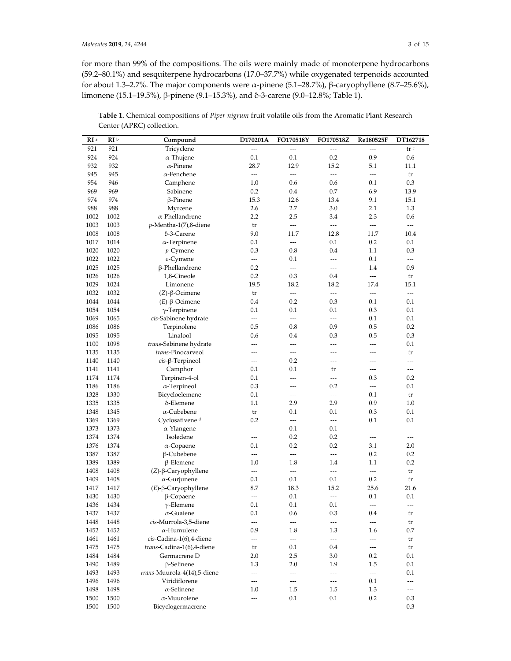for more than 99% of the compositions. The oils were mainly made of monoterpene hydrocarbons (59.2–80.1%) and sesquiterpene hydrocarbons (17.0–37.7%) while oxygenated terpenoids accounted for about 1.3–2.7%. The major components were α-pinene (5.1–28.7%), β-caryophyllene (8.7–25.6%), limonene (15.1–19.5%), β-pinene (9.1–15.3%), and δ-3-carene (9.0–12.8%; Table 1).

| RI <sup>a</sup> | RI b | Compound                                   | D170201A                        | FO170518Y                | FO170518Z                | Re180525F                | DT162718                 |
|-----------------|------|--------------------------------------------|---------------------------------|--------------------------|--------------------------|--------------------------|--------------------------|
| 921             | 921  | Tricyclene                                 | $---$                           | $\overline{\phantom{0}}$ | $---$                    | $\overline{\phantom{a}}$ | tr c                     |
| 924             | 924  | $\alpha$ -Thujene                          | 0.1                             | 0.1                      | 0.2                      | 0.9                      | 0.6                      |
| 932             | 932  | $\alpha$ -Pinene                           | 28.7                            | 12.9                     | 15.2                     | 5.1                      | 11.1                     |
| 945             | 945  | $\alpha$ -Fenchene                         | $\overline{a}$                  | $\overline{a}$           | $\overline{a}$           | $\overline{a}$           | tr                       |
| 954             | 946  | Camphene                                   | 1.0                             | 0.6                      | 0.6                      | 0.1                      | 0.3                      |
| 969             | 969  | Sabinene                                   | 0.2                             | 0.4                      | $0.7\,$                  | 6.9                      | 13.9                     |
| 974             | 974  | $\beta$ -Pinene                            | 15.3                            | 12.6                     | 13.4                     | 9.1                      | 15.1                     |
| 988             | 988  | Myrcene                                    | 2.6                             | 2.7                      | 3.0                      | 2.1                      | 1.3                      |
| 1002            | 1002 | $\alpha$ -Phellandrene                     | 2.2                             | 2.5                      | 3.4                      | $2.3\,$                  | 0.6                      |
| 1003            | 1003 | $p$ -Mentha-1(7),8-diene                   | tr                              | $\overline{a}$           | $\overline{a}$           | $\overline{a}$           | $\overline{a}$           |
| 1008            | 1008 | δ-3-Carene                                 | 9.0                             | 11.7                     | 12.8                     | 11.7                     | 10.4                     |
| 1017            | 1014 | $\alpha$ -Terpinene                        | 0.1                             | $\overline{a}$           | 0.1                      | 0.2                      | 0.1                      |
| 1020            | 1020 | $p$ -Cymene                                | 0.3                             | 0.8                      | 0.4                      | 1.1                      | 0.3                      |
| 1022            | 1022 | $o$ -Cymene                                | $\overline{a}$                  | 0.1                      | $\overline{a}$           | 0.1                      | $\overline{a}$           |
| 1025            | 1025 | $\beta$ -Phellandrene                      | 0.2                             | $---$                    | $---$                    | 1.4                      | 0.9                      |
| 1026            | 1026 | 1,8-Cineole                                | 0.2                             | 0.3                      | 0.4                      | $\overline{a}$           | tr                       |
| 1029            | 1024 | Limonene                                   | 19.5                            | 18.2                     | 18.2                     | 17.4                     | 15.1                     |
| 1032            | 1032 | $(Z)$ -β-Ocimene                           | tr                              | $\overline{a}$           | $\overline{a}$           | $\overline{a}$           | $\overline{a}$           |
| 1044            | 1044 | $(E)$ - $\beta$ -Ocimene                   | 0.4                             | 0.2                      | 0.3                      | 0.1                      | 0.1                      |
| 1054            | 1054 | $\gamma$ -Terpinene                        | 0.1                             | 0.1                      | 0.1                      | 0.3                      | 0.1                      |
| 1069            | 1065 | cis-Sabinene hydrate                       | $\overline{a}$                  | $\overline{a}$           | $---$                    | 0.1                      | 0.1                      |
| 1086            | 1086 | Terpinolene                                | 0.5                             | 0.8                      | 0.9                      | 0.5                      | 0.2                      |
| 1095            | 1095 | Linalool                                   | 0.6                             | 0.4                      | 0.3                      | 0.5                      | 0.3                      |
| 1100            | 1098 | trans-Sabinene hydrate                     | $---$                           | $---$                    | $---$                    | $---$                    | 0.1                      |
| 1135            | 1135 | trans-Pinocarveol                          | $\overline{a}$                  | $\overline{a}$           | $\overline{a}$           | $---$                    | tr                       |
| 1140            | 1140 | $cis$ - $\beta$ -Terpineol                 | ---                             | 0.2                      | ---                      | ---                      | ---                      |
| 1141            | 1141 | Camphor                                    | 0.1                             | 0.1                      | tr                       | $\overline{\phantom{a}}$ | $\overline{\phantom{a}}$ |
| 1174            | 1174 | Terpinen-4-ol                              | 0.1                             | $---$                    | $---$                    | 0.3                      | 0.2                      |
| 1186            | 1186 | $\alpha$ -Terpineol                        | 0.3                             | $---$                    | 0.2                      | $\overline{a}$           | 0.1                      |
| 1328            | 1330 | Bicycloelemene                             | 0.1                             | $\overline{\phantom{a}}$ | $\overline{a}$           | 0.1                      | tr                       |
| 1335            | 1335 | δ-Elemene                                  | 1.1                             | 2.9                      | 2.9                      | 0.9                      | 1.0                      |
| 1348            | 1345 | $\alpha$ -Cubebene                         | tr                              | 0.1                      | 0.1                      | 0.3                      | 0.1                      |
| 1369            | 1369 | Cyclosativene <sup>d</sup>                 | 0.2                             | $\overline{a}$           | $\overline{a}$           | 0.1                      | 0.1                      |
| 1373            | 1373 | $\alpha$ -Ylangene                         | $\overline{\phantom{a}}$        | 0.1                      | 0.1                      | ---                      | ---                      |
| 1374            | 1374 | Isoledene                                  | $\overline{a}$                  | 0.2                      | 0.2                      | $\overline{a}$           | $\overline{a}$           |
| 1376            | 1374 | $\alpha$ -Copaene                          | 0.1                             | 0.2                      | 0.2                      | 3.1                      | 2.0                      |
| 1387            | 1387 | $\beta$ -Cubebene                          | $\overline{a}$                  | $\overline{a}$           | $\overline{\phantom{a}}$ | 0.2                      | 0.2                      |
| 1389            | 1389 | $\beta$ -Elemene                           | 1.0                             | 1.8                      | 1.4                      | 1.1                      | 0.2                      |
| 1408            | 1408 | (Z)-β-Caryophyllene                        | $---$                           | $---$                    | $\overline{a}$           | $\overline{\phantom{a}}$ | tr                       |
| 1409            | 1408 | $\alpha$ -Gurjunene                        | 0.1                             | 0.1                      | 0.1                      | 0.2                      | tr                       |
| 1417            | 1417 | $(E)$ - $\beta$ -Caryophyllene             | 8.7                             | 18.3                     | 15.2                     | 25.6                     | 21.6                     |
| 1430            | 1430 |                                            | $\overline{a}$                  | 0.1                      | ---                      | 0.1                      | 0.1                      |
| 1436            | 1434 | β-Copaene<br>$\gamma$ -Elemene             | 0.1                             | 0.1                      | 0.1                      | ---                      | ---                      |
|                 |      |                                            |                                 |                          |                          |                          |                          |
| 1437<br>1448    | 1437 | $\alpha$ -Guaiene<br>cis-Murrola-3,5-diene | 0.1                             | 0.6<br>$\frac{1}{2}$     | 0.3                      | 0.4<br>$\overline{a}$    | tr                       |
|                 | 1448 | $\alpha$ -Humulene                         | $\overline{\phantom{a}}$<br>0.9 | 1.8                      | $\qquad \qquad \cdots$   |                          | tr                       |
| 1452            | 1452 |                                            |                                 |                          | 1.3                      | 1.6                      | 0.7                      |
| 1461            | 1461 | cis-Cadina-1(6),4-diene                    | $\overline{\phantom{a}}$        | $\cdots$                 | $\overline{\phantom{a}}$ | $\overline{\phantom{a}}$ | tr                       |
| 1475            | 1475 | trans-Cadina-1(6),4-diene                  | tr                              | 0.1                      | 0.4                      | $\overline{\phantom{a}}$ | tr                       |
| 1484            | 1484 | Germacrene D                               | 2.0                             | 2.5                      | 3.0                      | 0.2                      | 0.1                      |
| 1490            | 1489 | $\beta$ -Selinene                          | 1.3                             | 2.0                      | 1.9                      | 1.5                      | 0.1                      |
| 1493            | 1493 | trans-Muurola-4(14),5-diene                | $\overline{a}$                  | $\overline{a}$           | $---$                    | $\overline{a}$           | 0.1                      |
| 1496            | 1496 | Viridiflorene                              | $---$                           | $\overline{\phantom{a}}$ | $\overline{\phantom{a}}$ | 0.1                      | ---                      |
| 1498            | 1498 | $\alpha$ -Selinene                         | 1.0                             | 1.5                      | 1.5                      | 1.3                      | $\overline{\phantom{a}}$ |
| 1500            | 1500 | $\alpha$ -Muurolene                        | $\overline{a}$                  | 0.1                      | 0.1                      | 0.2                      | 0.3                      |
| 1500            | 1500 | Bicyclogermacrene                          | $\overline{\phantom{0}}$        | $\overline{a}$           | $\overline{\phantom{a}}$ | $---$                    | 0.3                      |

**Table 1.** Chemical compositions of *Piper nigrum* fruit volatile oils from the Aromatic Plant Research Center (APRC) collection.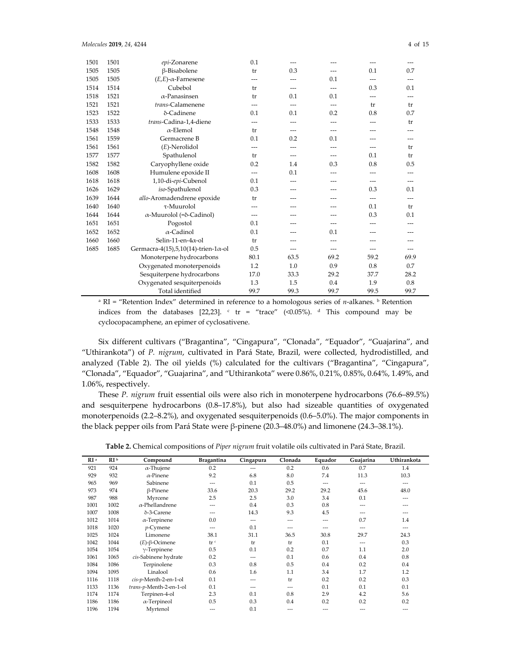| 1501 | 1501 | epi-Zonarene                  | 0.1 | --- |     |     |     |  |
|------|------|-------------------------------|-----|-----|-----|-----|-----|--|
| 1505 | 1505 | β-Bisabolene                  | tr  | 0.3 | --- | 0.1 | 0.7 |  |
| 1505 | 1505 | $(E,E)$ - $\alpha$ -Farnesene |     |     | 0.1 | --- |     |  |
| 1514 | 1514 | Cubebol                       | tr  | --- | --- | 0.3 | 0.1 |  |
| 1518 | 1521 | $\alpha$ -Panasinsen          | tr  | 0.1 | 0.1 |     |     |  |
| 1521 | 1521 | trans-Calamenene              | --- |     |     | tr  | tr  |  |
| 1523 | 1522 | δ-Cadinene                    | 0.1 | 0.1 | 0.2 | 0.8 | 0.7 |  |
| 1533 | 1533 | trans-Cadina-1,4-diene        |     |     |     |     | tr  |  |
| 1548 | 1548 | $\alpha$ -Elemol              | tr  |     |     |     |     |  |
|      |      |                               |     |     |     |     |     |  |

| 1521 | 1521 | trans-Calamenene                             |       |       |       | tr    | tr    |
|------|------|----------------------------------------------|-------|-------|-------|-------|-------|
| 1523 | 1522 | δ-Cadinene                                   | 0.1   | 0.1   | 0.2   | 0.8   | 0.7   |
| 1533 | 1533 | trans-Cadina-1,4-diene                       | $---$ | $---$ | $---$ | $---$ | tr    |
| 1548 | 1548 | $\alpha$ -Elemol                             | tr    |       |       |       |       |
| 1561 | 1559 | Germacrene B                                 | 0.1   | 0.2   | 0.1   |       |       |
| 1561 | 1561 | $(E)$ -Nerolidol                             | $---$ |       |       |       | tr    |
| 1577 | 1577 | Spathulenol                                  | tr    |       | $---$ | 0.1   | tr    |
| 1582 | 1582 | Caryophyllene oxide                          | 0.2   | 1.4   | 0.3   | 0.8   | 0.5   |
| 1608 | 1608 | Humulene epoxide II                          | $---$ | 0.1   |       |       | $---$ |
| 1618 | 1618 | 1,10-di-epi-Cubenol                          | 0.1   |       |       | ---   |       |
| 1626 | 1629 | iso-Spathulenol                              | 0.3   |       |       | 0.3   | 0.1   |
| 1639 | 1644 | allo-Aromadendrene epoxide                   | tr    |       |       | $---$ | $---$ |
| 1640 | 1640 | τ-Muurolol                                   | ---   |       |       | 0.1   | tr    |
| 1644 | 1644 | $\alpha$ -Muurolol (= $\delta$ -Cadinol)     | $---$ |       |       | 0.3   | 0.1   |
| 1651 | 1651 | Pogostol                                     | 0.1   |       |       | $---$ | $---$ |
| 1652 | 1652 | $\alpha$ -Cadinol                            | 0.1   |       | 0.1   |       |       |
| 1660 | 1660 | Selin-11-en-4 $\alpha$ -ol                   | tr    |       |       |       |       |
| 1685 | 1685 | Germacra-4(15),5,10(14)-trien-1 $\alpha$ -ol | 0.5   | ---   |       | ---   |       |
|      |      | Monoterpene hydrocarbons                     | 80.1  | 63.5  | 69.2  | 59.2  | 69.9  |
|      |      | Oxygenated monoterpenoids                    | 1.2   | 1.0   | 0.9   | 0.8   | 0.7   |
|      |      | Sesquiterpene hydrocarbons                   | 17.0  | 33.3  | 29.2  | 37.7  | 28.2  |
|      |      | Oxygenated sesquiterpenoids                  | 1.3   | 1.5   | 0.4   | 1.9   | 0.8   |
|      |      | Total identified                             | 99.7  | 99.3  | 99.7  | 99.5  | 99.7  |

<sup>a</sup> RI = "Retention Index" determined in reference to a homologous series of *n*-alkanes. **b** Retention indices from the databases  $[22,23]$ .  $\circ$  tr = "trace" (<0.05%).  $\frac{d}{dx}$  This compound may be cyclocopacamphene, an epimer of cyclosativene.

Six different cultivars ("Bragantina", "Cingapura", "Clonada", "Equador", "Guajarina", and "Uthirankota") of *P. nigrum*, cultivated in Pará State, Brazil, were collected, hydrodistilled, and analyzed (Table 2). The oil yields (%) calculated for the cultivars ("Bragantina", "Cingapura", "Clonada", "Equador", "Guajarina", and "Uthirankota" were 0.86%, 0.21%, 0.85%, 0.64%, 1.49%, and 1.06%, respectively.

These *P. nigrum* fruit essential oils were also rich in monoterpene hydrocarbons (76.6–89.5%) and sesquiterpene hydrocarbons (0.8–17.8%), but also had sizeable quantities of oxygenated monoterpenoids (2.2–8.2%), and oxygenated sesquiterpenoids (0.6–5.0%). The major components in the black pepper oils from Pará State were β-pinene (20.3–48.0%) and limonene (24.3–38.1%).

|  |  |  | Table 2. Chemical compositions of Piper nigrum fruit volatile oils cultivated in Pará State, Brazil. |
|--|--|--|------------------------------------------------------------------------------------------------------|
|--|--|--|------------------------------------------------------------------------------------------------------|

| RI <sup>a</sup> | RI <sup>b</sup> | Compound                 | <b>Bragantina</b> | Cingapura | Clonada | Equador | Guajarina | Uthirankota |
|-----------------|-----------------|--------------------------|-------------------|-----------|---------|---------|-----------|-------------|
| 921             | 924             | $\alpha$ -Thujene        | 0.2               | $---$     | 0.2     | 0.6     | 0.7       | 1.4         |
| 929             | 932             | $\alpha$ -Pinene         | 9.2               | 6.8       | 8.0     | 7.4     | 11.3      | 10.3        |
| 965             | 969             | Sabinene                 | $---$             | 0.1       | 0.5     | $---$   | $---$     | $---$       |
| 973             | 974             | $\beta$ -Pinene          | 33.6              | 20.3      | 29.2    | 29.2    | 45.6      | 48.0        |
| 987             | 988             | Myrcene                  | 2.5               | 2.5       | 3.0     | 3.4     | 0.1       | $---$       |
| 1001            | 1002            | $\alpha$ -Phellandrene   | ---               | 0.4       | 0.3     | 0.8     | $- - -$   | $---$       |
| 1007            | 1008            | δ-3-Carene               | $---$             | 14.3      | 9.3     | 4.5     | $- - -$   | $---$       |
| 1012            | 1014            | $\alpha$ -Terpinene      | 0.0               | $---$     | ---     | $---$   | 0.7       | 1.4         |
| 1018            | 1020            | $p$ -Cymene              | ---               | 0.1       | ---     | $---$   | $---$     | $---$       |
| 1025            | 1024            | Limonene                 | 38.1              | 31.1      | 36.5    | 30.8    | 29.7      | 24.3        |
| 1042            | 1044            | $(E)$ - $\beta$ -Ocimene | tr <sup>c</sup>   | tr        | tr      | 0.1     | $---$     | 0.3         |
| 1054            | 1054            | $\gamma$ -Terpinene      | 0.5               | 0.1       | 0.2     | 0.7     | 1.1       | 2.0         |
| 1061            | 1065            | cis-Sabinene hydrate     | 0.2               | $---$     | 0.1     | 0.6     | 0.4       | 0.8         |
| 1084            | 1086            | Terpinolene              | 0.3               | 0.8       | 0.5     | 0.4     | 0.2       | 0.4         |
| 1094            | 1095            | Linalool                 | 0.6               | 1.6       | 1.1     | 3.4     | 1.7       | 1.2         |
| 1116            | 1118            | cis-p-Menth-2-en-1-ol    | 0.1               | $---$     | tr      | 0.2     | 0.2       | 0.3         |
| 1133            | 1136            | trans-p-Menth-2-en-1-ol  | 0.1               | ---       | ---     | 0.1     | 0.1       | 0.1         |
| 1174            | 1174            | Terpinen-4-ol            | 2.3               | 0.1       | 0.8     | 2.9     | 4.2       | 5.6         |
| 1186            | 1186            | $\alpha$ -Terpineol      | 0.5               | 0.3       | 0.4     | 0.2     | 0.2       | 0.2         |
| 1196            | 1194            | Myrtenol                 | ---               | 0.1       | ---     | $---$   | $---$     | $---$       |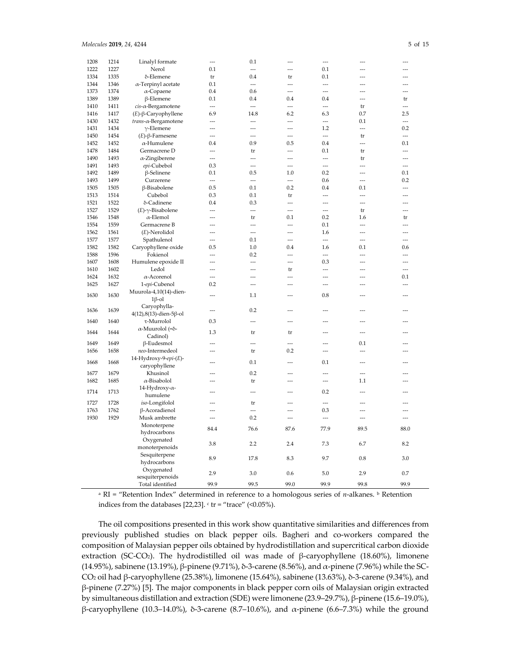#### *Molecules* **2019**, *24*, 4244 5 of 15

| 1208 | 1214 | Linalyl formate                  | $\overline{a}$ | 0.1                    | $\overline{a}$           | $\sim$                   | $\sim$         | $\sim$                   |
|------|------|----------------------------------|----------------|------------------------|--------------------------|--------------------------|----------------|--------------------------|
| 1222 | 1227 | Nerol                            | 0.1            | ---                    | $\sim$                   | 0.1                      | $\sim$         | $\sim$                   |
| 1334 | 1335 | δ-Elemene                        | tr             | 0.4                    | tr                       | 0.1                      | $\overline{a}$ | ---                      |
| 1344 | 1346 | $\alpha$ -Terpinyl acetate       | 0.1            | $\overline{a}$         | $\overline{a}$           | $\overline{\phantom{a}}$ | $\overline{a}$ | $\overline{a}$           |
| 1373 | 1374 | $\alpha$ -Copaene                | 0.4            | 0.6                    | $\sim$                   | $\sim$                   | $---$          | $\overline{a}$           |
| 1389 | 1389 | $\beta$ -Elemene                 | 0.1            | 0.4                    | 0.4                      | 0.4                      | $---$          | tr                       |
| 1410 | 1411 | $cis$ - $\alpha$ -Bergamotene    | $\overline{a}$ | $\overline{a}$         | $\overline{a}$           | $\overline{a}$           | tr             | $\sim$                   |
| 1416 | 1417 | $(E)$ - $\beta$ -Caryophyllene   | 6.9            | 14.8                   | 6.2                      | 6.3                      | 0.7            | 2.5                      |
| 1430 | 1432 | $trans-\alpha-Bergamotene$       | $\overline{a}$ | $\overline{a}$         | $\overline{\phantom{a}}$ | $\overline{\phantom{a}}$ | 0.1            | $\overline{\phantom{a}}$ |
| 1431 | 1434 | $\gamma$ -Elemene                | ---            | $\overline{a}$         | ---                      | 1.2                      | $\overline{a}$ | 0.2                      |
| 1450 | 1454 | $(E)$ - $\beta$ -Farnesene       | ---            | $\overline{a}$         | $\overline{a}$           | $\overline{\phantom{a}}$ | tr             | $\overline{\phantom{a}}$ |
| 1452 | 1452 | $\alpha$ -Humulene               | 0.4            | 0.9                    | 0.5                      | 0.4                      | $\overline{a}$ | 0.1                      |
| 1478 | 1484 | Germacrene D                     | ---            | tr                     | $---$                    | 0.1                      | tr             | $\overline{a}$           |
| 1490 | 1493 | $\alpha$ -Zingiberene            | ---            | $\overline{a}$         | $\overline{a}$           | $\overline{a}$           | tr             | ---                      |
| 1491 | 1493 | epi-Cubebol                      | 0.3            | $\overline{a}$         | $\overline{a}$           | $\overline{\phantom{a}}$ | $\overline{a}$ | ---                      |
| 1492 | 1489 | $\beta$ -Selinene                | 0.1            | 0.5                    | 1.0                      | 0.2                      | $---$          | 0.1                      |
| 1493 | 1499 | Curzerene                        | $\overline{a}$ | $\overline{a}$         | $\overline{a}$           | 0.6                      | $\overline{a}$ | 0.2                      |
| 1505 | 1505 | β-Bisabolene                     | 0.5            | 0.1                    | 0.2                      | 0.4                      | 0.1            | $\overline{a}$           |
| 1513 | 1514 | Cubebol                          | 0.3            | 0.1                    | tr                       | $\overline{a}$           | $\overline{a}$ | $\overline{a}$           |
| 1521 | 1522 | δ-Cadinene                       | 0.4            | 0.3                    | $\overline{\phantom{a}}$ | $\overline{a}$           | $\overline{a}$ | ---                      |
| 1527 | 1529 | $(E)$ - $\gamma$ -Bisabolene     | ---            | ---                    |                          | $\overline{a}$           | tr             |                          |
|      |      |                                  |                |                        |                          |                          |                |                          |
| 1546 | 1548 | $\alpha$ -Elemol                 | $\overline{a}$ | tr                     | 0.1                      | 0.2                      | 1.6            | tr                       |
| 1554 | 1559 | Germacrene B                     | $\overline{a}$ | $\overline{a}$         | $\overline{a}$           | 0.1                      | $\overline{a}$ | $\overline{a}$           |
| 1562 | 1561 | $(E)$ -Nerolidol                 | $\overline{a}$ |                        | $\overline{a}$           | 1.6                      | $\overline{a}$ | $\sim$                   |
| 1577 | 1577 | Spathulenol                      | $\overline{a}$ | 0.1                    | $\overline{a}$           |                          | $\overline{a}$ | $\overline{a}$           |
| 1582 | 1582 | Caryophyllene oxide              | 0.5            | 1.0                    | 0.4                      | 1.6                      | 0.1            | 0.6                      |
| 1588 | 1596 | Fokienol                         | $\overline{a}$ | 0.2                    | $\overline{a}$           | $\overline{a}$           | $\overline{a}$ | $\overline{\phantom{a}}$ |
| 1607 | 1608 | Humulene epoxide II              | $\overline{a}$ | ---                    | ---                      | 0.3                      | $\overline{a}$ | $\overline{a}$           |
| 1610 | 1602 | Ledol                            | $\sim$         | $\sim$                 | tr                       | $\sim$                   | $\sim$         | $\sim$                   |
| 1624 | 1632 | $\alpha$ -Acorenol               | $\overline{a}$ | $\overline{a}$         | $\overline{a}$           | $\overline{a}$           | $\overline{a}$ | 0.1                      |
| 1625 | 1627 | 1-epi-Cubenol                    | 0.2            | $\overline{a}$         | ---                      | $\overline{a}$           | ---            | $\overline{a}$           |
| 1630 | 1630 | Muurola-4,10(14)-dien-           | $\overline{a}$ | 1.1                    |                          | 0.8                      |                |                          |
|      |      | $1\beta$ -ol                     |                |                        |                          |                          |                |                          |
|      | 1639 | Caryophylla-                     |                | 0.2                    |                          |                          |                |                          |
| 1636 |      | 4(12),8(13)-dien-5β-ol           | ---            |                        | ---                      | $---$                    | ---            |                          |
| 1640 | 1640 | τ-Murrolol                       | 0.3            | $\overline{a}$         | $-$ --                   | ---                      | $---$          |                          |
|      |      | $\alpha$ -Muurolol (= $\delta$ - |                |                        |                          |                          |                |                          |
| 1644 | 1644 | Cadinol)                         | 1.3            | $\mathop{\mathrm{tr}}$ | tr                       | $\overline{a}$           | $\overline{a}$ | $\overline{a}$           |
| 1649 | 1649 | $\beta$ -Eudesmol                | $---$          | $\sim$                 | $\sim$                   | $\overline{a}$           | 0.1            | $\sim$                   |
| 1656 | 1658 | neo-Intermedeol                  | $\overline{a}$ | tr                     | 0.2                      | $\overline{a}$           | $\sim$         | $\overline{a}$           |
|      |      | 14-Hydroxy-9-epi-(E)-            |                |                        |                          |                          |                |                          |
| 1668 | 1668 | caryophyllene                    | ---            | 0.1                    | $\overline{a}$           | 0.1                      | $\overline{a}$ | ---                      |
| 1677 | 1679 | Khusinol                         | $---$          | 0.2                    | $\overline{a}$           | $\overline{a}$           | $\overline{a}$ |                          |
| 1682 | 1685 | $\alpha$ -Bisabolol              | ---            | tr                     | $\overline{a}$           | $\overline{a}$           | 1.1            | $\overline{a}$           |
|      |      | 14-Hydroxy-α-                    |                |                        |                          |                          |                |                          |
| 1714 | 1713 | humulene                         | ---            | $\overline{a}$         | $\overline{a}$           | 0.2                      | $\overline{a}$ |                          |
| 1727 | 1728 | iso-Longifolol                   |                | tr                     | $\overline{a}$           | $\overline{a}$           | $\overline{a}$ | ---                      |
| 1763 | 1762 | β-Acoradienol                    | ---            | $\overline{a}$         | $\overline{a}$           | 0.3                      | $\overline{a}$ | ---                      |
| 1930 | 1929 |                                  | ---            | 0.2                    | $\overline{a}$           | $\overline{\phantom{a}}$ | $---$          | $\overline{a}$           |
|      |      | Musk ambrette                    |                |                        |                          |                          |                |                          |
|      |      | Monoterpene                      | 84.4           | 76.6                   | 87.6                     | 77.9                     | 89.5           | 88.0                     |
|      |      | hydrocarbons                     |                |                        |                          |                          |                |                          |
|      |      | Oxygenated                       | 3.8            | 2.2                    | 2.4                      | 7.3                      | 6.7            | 8.2                      |
|      |      | monoterpenoids                   |                |                        |                          |                          |                |                          |
|      |      | Sesquiterpene                    | 8.9            | 17.8                   | 8.3                      | 9.7                      | $0.8\,$        | 3.0                      |
|      |      | hydrocarbons                     |                |                        |                          |                          |                |                          |
|      |      | Oxygenated                       | 2.9            | 3.0                    | 0.6                      | 5.0                      | 2.9            | 0.7                      |
|      |      | sesquiterpenoids                 |                |                        |                          |                          |                |                          |
|      |      | Total identified                 | 99.9           | 99.5                   | 99.0                     | 99.9                     | 99.8           | 99.9                     |

<sup>a</sup> RI = "Retention Index" determined in reference to a homologous series of *n*-alkanes. <sup>b</sup> Retention indices from the databases [22,23].  $\text{c}$  tr = "trace" (<0.05%).

The oil compositions presented in this work show quantitative similarities and differences from previously published studies on black pepper oils. Bagheri and co-workers compared the composition of Malaysian pepper oils obtained by hydrodistillation and supercritical carbon dioxide extraction (SC-CO<sub>2</sub>). The hydrodistilled oil was made of β-caryophyllene (18.60%), limonene (14.95%), sabinene (13.19%), β-pinene (9.71%), δ-3-carene (8.56%), and α-pinene (7.96%) while the SC-CO2 oil had β-caryophyllene (25.38%), limonene (15.64%), sabinene (13.63%), δ-3-carene (9.34%), and β-pinene (7.27%) [5]. The major components in black pepper corn oils of Malaysian origin extracted by simultaneous distillation and extraction (SDE) were limonene (23.9–29.7%), β-pinene (15.6–19.0%), β-caryophyllene (10.3–14.0%), δ-3-carene (8.7–10.6%), and  $\alpha$ -pinene (6.6–7.3%) while the ground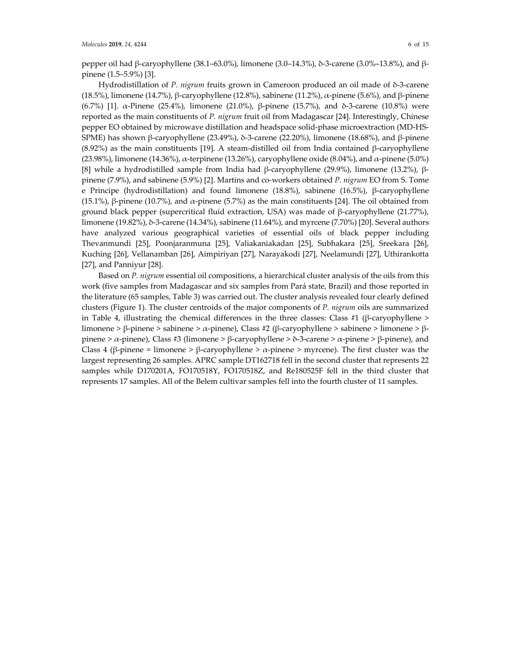pepper oil had β-caryophyllene (38.1–63.0%), limonene (3.0–14.3%), δ-3-carene (3.0%–13.8%), and βpinene (1.5–5.9%) [3].

Hydrodistillation of *P. nigrum* fruits grown in Cameroon produced an oil made of δ-3-carene (18.5%), limonene (14.7%), β-caryophyllene (12.8%), sabinene (11.2%),  $\alpha$ -pinene (5.6%), and β-pinene (6.7%) [1]. α-Pinene (25.4%), limonene (21.0%), β-pinene (15.7%), and δ-3-carene (10.8%) were reported as the main constituents of *P. nigrum* fruit oil from Madagascar [24]. Interestingly, Chinese pepper EO obtained by microwave distillation and headspace solid-phase microextraction (MD-HS-SPME) has shown β-caryophyllene (23.49%), δ-3-carene (22.20%), limonene (18.68%), and β-pinene (8.92%) as the main constituents [19]. A steam-distilled oil from India contained β-caryophyllene (23.98%), limonene (14.36%),  $\alpha$ -terpinene (13.26%), caryophyllene oxide (8.04%), and  $\alpha$ -pinene (5.0%) [8] while a hydrodistilled sample from India had β-caryophyllene (29.9%), limonene (13.2%), βpinene (7.9%), and sabinene (5.9%) [2]. Martins and co-workers obtained *P. nigrum* EO from S. Tome e Principe (hydrodistillation) and found limonene (18.8%), sabinene (16.5%), β-caryophyllene (15.1%), β-pinene (10.7%), and  $\alpha$ -pinene (5.7%) as the main constituents [24]. The oil obtained from ground black pepper (supercritical fluid extraction, USA) was made of β-caryophyllene (21.77%), limonene (19.82%), δ-3-carene (14.34%), sabinene (11.64%), and myrcene (7.70%) [20]. Several authors have analyzed various geographical varieties of essential oils of black pepper including Thevanmundi [25], Poonjaranmuna [25], Valiakaniakadan [25], Subhakara [25], Sreekara [26], Kuching [26], Vellanamban [26], Aimpiriyan [27], Narayakodi [27], Neelamundi [27], Uthirankotta [27], and Panniyur [28].

Based on *P. nigrum* essential oil compositions, a hierarchical cluster analysis of the oils from this work (five samples from Madagascar and six samples from Pará state, Brazil) and those reported in the literature (65 samples, Table 3) was carried out. The cluster analysis revealed four clearly defined clusters (Figure 1). The cluster centroids of the major components of *P. nigrum* oils are summarized in Table 4, illustrating the chemical differences in the three classes: Class #1 (β-caryophyllene > limonene > β-pinene > sabinene > α-pinene), Class #2 (β-caryophyllene > sabinene > limonene > βpinene > α-pinene), Class #3 (limonene > β-caryophyllene > δ-3-carene > α-pinene > β-pinene), and Class 4 (β-pinene ≈ limonene > β-caryophyllene > α-pinene > myrcene). The first cluster was the largest representing 26 samples. APRC sample DT162718 fell in the second cluster that represents 22 samples while D170201A, FO170518Y, FO170518Z, and Re180525F fell in the third cluster that represents 17 samples. All of the Belem cultivar samples fell into the fourth cluster of 11 samples.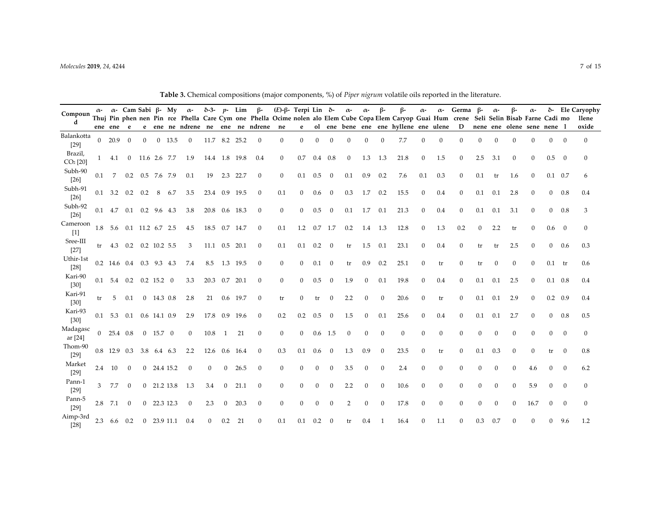| Compoun                                                                                                                                                                                                                                                                         |                |                          |                           |                     |              |               | $\alpha$ - $\alpha$ - Cam Sabi $\beta$ - My $\alpha$ - | $\delta$ -3- $p$ - Lim |              |          | $\beta$ -                                                                                                                                     | $(E)$ -β- Terpi Lin δ- |              |              |                 | $\alpha$ -   | $\alpha$ -   | $\beta$ -    | β-                                    | $\alpha$ -       | $\alpha$ -   | Germa <sup>B-</sup> |                  | $\alpha$ -   | $\beta -$                  | $\alpha$ -   | ò-              |                | Ele Caryophy |
|---------------------------------------------------------------------------------------------------------------------------------------------------------------------------------------------------------------------------------------------------------------------------------|----------------|--------------------------|---------------------------|---------------------|--------------|---------------|--------------------------------------------------------|------------------------|--------------|----------|-----------------------------------------------------------------------------------------------------------------------------------------------|------------------------|--------------|--------------|-----------------|--------------|--------------|--------------|---------------------------------------|------------------|--------------|---------------------|------------------|--------------|----------------------------|--------------|-----------------|----------------|--------------|
| d                                                                                                                                                                                                                                                                               |                |                          |                           |                     |              |               |                                                        |                        |              |          | Thuj Pin phen nen Pin rce Phella Care Cym one Phella Ocime nolen alo Elem Cube Copa Elem Caryop Guai Hum crene Seli Selin Bisab Farne Cadi mo |                        |              |              |                 |              |              |              |                                       |                  |              |                     |                  |              |                            |              |                 |                | llene        |
|                                                                                                                                                                                                                                                                                 |                | ene ene e                |                           |                     |              |               |                                                        |                        |              |          | e ene ne ndrene ne ene ne ndrene ne                                                                                                           |                        | e            |              |                 |              |              |              | ol ene bene ene ene hyllene ene ulene |                  |              | D                   |                  |              | nene ene olene sene nene 1 |              |                 |                | oxide        |
| Balankotta<br>$[29]$                                                                                                                                                                                                                                                            | $\Omega$       | $20.9\quad 0$            |                           | $\Omega$            |              | $0$ 13.5      | $\overline{0}$                                         | 11.7 8.2 25.2          |              |          | $\Omega$                                                                                                                                      | $\Omega$               | $\Omega$     | $\Omega$     | $\Omega$        | $\Omega$     | $\Omega$     | $\mathbf{0}$ | 7.7                                   | $\mathbf{0}$     | $\mathbf{0}$ | $\Omega$            | 0                | $\Omega$     | $\Omega$                   | $\Omega$     | $\Omega$        | $\Omega$       | $\Omega$     |
| Brazil,<br>CO <sub>2</sub> [20]                                                                                                                                                                                                                                                 | $\mathbf{1}$   | 4.1                      | $\overline{0}$            | 11.6 2.6 7.7        |              |               | 1.9                                                    | 14.4 1.8 19.8          |              |          | 0.4                                                                                                                                           | $\mathbf{0}$           | 0.7          |              | $0.4\quad 0.8$  | $\mathbf{0}$ | 1.3          | 1.3          | 21.8                                  | 0                | 1.5          | $\mathbf{0}$        | 2.5              | 3.1          | $\mathbf{0}$               | $\mathbf{0}$ | 0.5             | $\overline{0}$ | $\mathbf{0}$ |
| Subh-90<br>$[26]$                                                                                                                                                                                                                                                               | 0.1            | 7                        |                           | $0.2$ $0.5$ 7.6 7.9 |              |               | 0.1                                                    | 19                     |              | 2.3 22.7 | $\mathbf{0}$                                                                                                                                  | $\mathbf{0}$           | 0.1          | 0.5          | $\overline{0}$  | 0.1          | 0.9          | 0.2          | 7.6                                   | 0.1              | 0.3          | $\mathbf{0}$        | 0.1              | tr           | 1.6                        | $\mathbf{0}$ | $0.1 \quad 0.7$ |                | 6            |
| Subh-91<br>$[26]$                                                                                                                                                                                                                                                               | 0.1            |                          | $3.2 \quad 0.2 \quad 0.2$ |                     | 8            | 6.7           | 3.5                                                    | 23.4 0.9 19.5          |              |          | $\mathbf{0}$                                                                                                                                  | 0.1                    | $\mathbf{0}$ | 0.6          | $\overline{0}$  | 0.3          | 1.7          | 0.2          | 15.5                                  | $\mathbf{0}$     | 0.4          | $\mathbf{0}$        | 0.1              | 0.1          | 2.8                        | $\Omega$     | $\mathbf{0}$    | 0.8            | 0.4          |
| Subh-92<br>$[26]$                                                                                                                                                                                                                                                               | 0.1            |                          | 4.7 0.1 0.2 9.6 4.3       |                     |              |               | 3.8                                                    | 20.8 0.6 18.3          |              |          | $\mathbf{0}$                                                                                                                                  | $\boldsymbol{0}$       | $\mathbf{0}$ | 0.5          | $\overline{0}$  | 0.1          | 1.7          | 0.1          | 21.3                                  | $\boldsymbol{0}$ | 0.4          | $\mathbf{0}$        | 0.1              | 0.1          | 3.1                        | $\mathbf{0}$ | $\overline{0}$  | 0.8            | 3            |
| Cameroon<br>$[1] % \begin{center} \includegraphics[width=\linewidth]{imagesSupplemental_3.png} \end{center} % \vspace*{-1em} \caption{The image shows the number of times of the estimators in the image. The left is the number of times of the right.} \label{fig:example} %$ | 1.8            |                          | 5.6 0.1 11.2 6.7 2.5      |                     |              |               | 4.5                                                    | 18.5 0.7 14.7          |              |          | $\mathbf{0}$                                                                                                                                  | 0.1                    | 1.2          |              | $0.7 \quad 1.7$ | 0.2          | 1.4 1.3      |              | 12.8                                  | $\boldsymbol{0}$ | 1.3          | 0.2                 | $\boldsymbol{0}$ | 2.2          | tr                         | $\mathbf{0}$ | $0.6\,$         | $\overline{0}$ | $\mathbf{0}$ |
| Sree-III<br>$[27]$                                                                                                                                                                                                                                                              | tr             |                          | 4.3 0.2 0.2 10.2 5.5      |                     |              |               | 3                                                      | 11.1 0.5 20.1          |              |          | $\theta$                                                                                                                                      | 0.1                    | 0.1          | 0.2          | $\overline{0}$  | tr           | 1.5          | 0.1          | 23.1                                  | $\overline{0}$   | 0.4          | $\mathbf{0}$        | tr               | tr           | 2.5                        | $\mathbf{0}$ | $\overline{0}$  | 0.6            | 0.3          |
| Uthir-1st<br>$[28]$                                                                                                                                                                                                                                                             |                | 0.2 14.6 0.4 0.3 9.3 4.3 |                           |                     |              |               | 7.4                                                    | 8.5                    | 1.3 19.5     |          | $\Omega$                                                                                                                                      | $\mathbf{0}$           | $\mathbf{0}$ | 0.1          | $\theta$        | tr           | 0.9          | 0.2          | 25.1                                  | $\mathbf{0}$     | tr           | $\mathbf{0}$        | tr               | $\mathbf{0}$ | $\mathbf{0}$               | $\mathbf{0}$ | $0.1$ tr        |                | 0.6          |
| Kari-90<br>$[30]$                                                                                                                                                                                                                                                               | 0.1            |                          | 5.4 0.2 0.2 15.2 0        |                     |              |               | 3.3                                                    | 20.3 0.7 20.1          |              |          | $\mathbf{0}$                                                                                                                                  | $\mathbf{0}$           | $\mathbf{0}$ | 0.5          | $\mathbf{0}$    | 1.9          | $\mathbf{0}$ | 0.1          | 19.8                                  | $\boldsymbol{0}$ | 0.4          | $\mathbf{0}$        | 0.1              | 0.1          | 2.5                        | $\mathbf{0}$ | $0.1 \quad 0.8$ |                | 0.4          |
| Kari-91<br>$[30]$                                                                                                                                                                                                                                                               | tr             | 5                        | 0.1                       |                     | $0$ 14.3 0.8 |               | 2.8                                                    | 21                     |              | 0.6 19.7 | $\mathbf{0}$                                                                                                                                  | tr                     | $\mathbf{0}$ | tr           | $\mathbf{0}$    | 2.2          | $\mathbf{0}$ | $\mathbf{0}$ | 20.6                                  | $\mathbf{0}$     | tr           | $\mathbf{0}$        | 0.1              | 0.1          | 2.9                        | $\mathbf{0}$ | $0.2 \quad 0.9$ |                | 0.4          |
| Kari-93<br>$[30]$                                                                                                                                                                                                                                                               | 0.1            |                          | 5.3 0.1 0.6 14.1 0.9      |                     |              |               | 2.9                                                    | 17.8                   | 0.9 19.6     |          | $\Omega$                                                                                                                                      | 0.2                    | 0.2          | 0.5          | $\theta$        | 1.5          | $\Omega$     | 0.1          | 25.6                                  | $\mathbf{0}$     | 0.4          | $\mathbf{0}$        | 0.1              | 0.1          | 2.7                        | $\Omega$     | $\overline{0}$  | 0.8            | 0.5          |
| $\rm Madagasc$<br>ar [24]                                                                                                                                                                                                                                                       | $\overline{0}$ | 25.4 0.8                 |                           |                     | $0$ 15.7 $0$ |               | $\mathbf{0}$                                           | 10.8                   | -1           | 21       | $\mathbf{0}$                                                                                                                                  | $\mathbf{0}$           | $\mathbf{0}$ | 0.6          | - 1.5           | $\mathbf{0}$ | $\Omega$     | $\mathbf{0}$ | $\mathbf{0}$                          | $\mathbf{0}$     | $\mathbf{0}$ | $\mathbf{0}$        | $\mathbf{0}$     | $\mathbf{0}$ | $\Omega$                   | $\Omega$     | $\overline{0}$  | $\Omega$       | $\mathbf{0}$ |
| Thom-90<br>$[29]$                                                                                                                                                                                                                                                               |                | 0.8 12.9 0.3 3.8 6.4 6.3 |                           |                     |              |               | 2.2                                                    | 12.6 0.6 16.4          |              |          | $\Omega$                                                                                                                                      | 0.3                    | 0.1          | 0.6          | $\overline{0}$  | 1.3          | 0.9          | $\theta$     | 23.5                                  | $\mathbf{0}$     | tr           | $\mathbf{0}$        | 0.1              | 0.3          | $\mathbf{0}$               | $\Omega$     | tr              | $\overline{0}$ | 0.8          |
| Market<br>$[29]$                                                                                                                                                                                                                                                                | 2.4            | 10                       | $\overline{0}$            |                     |              | $0$ 24.4 15.2 | $\Omega$                                               | $\Omega$               | $\Omega$     | 26.5     | $\Omega$                                                                                                                                      | $\Omega$               | $\Omega$     | $\Omega$     | $\Omega$        | 3.5          | $\Omega$     | $\Omega$     | 2.4                                   | $\Omega$         | $\Omega$     | $\Omega$            | $\Omega$         | $\Omega$     | $\Omega$                   | 4.6          | $\Omega$        | $\Omega$       | 6.2          |
| Pann-1<br>$[29]$                                                                                                                                                                                                                                                                | 3              | 7.7                      | $\overline{0}$            |                     |              | $0$ 21.2 13.8 | 1.3                                                    | 3.4                    | $\mathbf{0}$ | 21.1     | $\Omega$                                                                                                                                      | $\mathbf{0}$           | $\mathbf{0}$ | $\mathbf{0}$ | $\mathbf{0}$    | 2.2          | $\Omega$     | $\mathbf{0}$ | 10.6                                  | $\Omega$         | $\mathbf{0}$ | $\Omega$            | $\Omega$         | $\Omega$     | $\Omega$                   | 5.9          | $\Omega$        | $\Omega$       | $\mathbf{0}$ |
| Pann-5<br>$[29]$                                                                                                                                                                                                                                                                | 2.8            | 7.1                      | $\overline{0}$            |                     |              | $0$ 22.3 12.3 | $\mathbf{0}$                                           | 2.3                    | $\mathbf{0}$ | 20.3     | $\mathbf{0}$                                                                                                                                  | $\mathbf{0}$           | $\mathbf{0}$ | $\mathbf{0}$ | $\mathbf{0}$    | 2            | $\mathbf{0}$ | $\mathbf{0}$ | 17.8                                  | $\mathbf{0}$     | $\mathbf{0}$ | $\mathbf{0}$        | $\Omega$         | $\mathbf{0}$ | $\mathbf{0}$               | 16.7         | $\mathbf{0}$    | $\Omega$       | $\theta$     |
| Aimp-3rd<br>$[28]$                                                                                                                                                                                                                                                              | 2.3            |                          | $6.6\quad 0.2$            | $\overline{0}$      |              | 23.9 11.1     | 0.4                                                    | $\overline{0}$         | 0.2          | 21       | $\mathbf{0}$                                                                                                                                  | 0.1                    | 0.1          | 0.2          | $\overline{0}$  | tr           | 0.4          | -1           | 16.4                                  | 0                | 1.1          | $\Omega$            | 0.3              | 0.7          |                            | $\Omega$     | $\Omega$        | 9.6            | 1.2          |

**Table 3.** Chemical compositions (major components, %) of *Piper nigrum* volatile oils reported in the literature.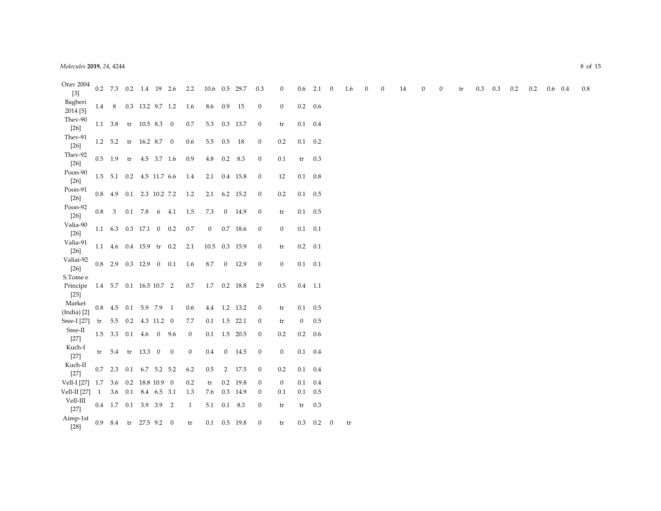| Orav 2004<br>$[3]$                  |     | $0.2$ 7.3 0.2 1.4 19 2.6 |  |                              | 2.2              | 10.6 0.5 29.7  |                |             | 0.3              | $\mathbf{0}$   | 0.6             | 2.1         | $\overline{0}$ | 1.6 | $\mathbf{0}$ | $\boldsymbol{0}$ | 14 | 0 | $\mathbf{0}$ | tr | 0.3 | 0.3 | 0.2 | 0.2 | $0.6 \quad 0.4$ | 0.8 |
|-------------------------------------|-----|--------------------------|--|------------------------------|------------------|----------------|----------------|-------------|------------------|----------------|-----------------|-------------|----------------|-----|--------------|------------------|----|---|--------------|----|-----|-----|-----|-----|-----------------|-----|
| Bagheri<br>2014 [5]                 |     | 1.4 8 0.3 13.2 9.7 1.2   |  |                              | 1.6              | 8.6            | $0.9$ 15       |             | $\boldsymbol{0}$ | $\mathbf{0}$   | $0.2 \quad 0.6$ |             |                |     |              |                  |    |   |              |    |     |     |     |     |                 |     |
| Thev-90<br>$[26]$                   |     | 1.1 3.8 tr 10.5 8.3 0    |  |                              | 0.7              | 5.3            | 0.3 13.7       |             | $\boldsymbol{0}$ | tr             | $0.1 \quad 0.4$ |             |                |     |              |                  |    |   |              |    |     |     |     |     |                 |     |
| Thev-91<br>$[26]$                   |     | 1.2 5.2 tr 16.2 8.7 0    |  |                              | 0.6              | 5.5            | $0.5$ 18       |             | $\boldsymbol{0}$ | 0.2            | $0.1 \quad 0.2$ |             |                |     |              |                  |    |   |              |    |     |     |     |     |                 |     |
| Thev-92<br>$[26]$                   |     | 0.5 1.9 tr 4.5 3.7 1.6   |  |                              | 0.9              | 4.8            | 0.2            | 8.3         | $\boldsymbol{0}$ | 0.1            | tr              | 0.3         |                |     |              |                  |    |   |              |    |     |     |     |     |                 |     |
| Poon-90<br>$[26]$                   | 1.5 | 5.1 0.2 4.5 11.7 6.6     |  |                              | 1.4              | 2.1 0.4 15.8   |                |             | $\mathbf{0}$     | 12             | $0.1 \quad 0.8$ |             |                |     |              |                  |    |   |              |    |     |     |     |     |                 |     |
| Poon-91<br>$[26]$                   | 0.8 |                          |  | 4.9 0.1 2.3 10.2 7.2 1.2     |                  | 2.1 6.2 15.2   |                |             | $\mathbf{0}$     | 0.2            | $0.1 \quad 0.5$ |             |                |     |              |                  |    |   |              |    |     |     |     |     |                 |     |
| Poon-92<br>$[26]$                   | 0.8 |                          |  | 3 0.1 7.8 6 4.1 1.5          |                  | 7.3            | $\overline{0}$ | - 14.9      | $\mathbf{0}$     | tr             | $0.1 \quad 0.5$ |             |                |     |              |                  |    |   |              |    |     |     |     |     |                 |     |
| Valia-90<br>$[26]$                  |     | 1.1 6.3 0.3 17.1 0       |  | 0.2                          | 0.7              | $\overline{0}$ | 0.7 18.6       |             | $\mathbf{0}$     | $\mathbf{0}$   | $0.1 \quad 0.1$ |             |                |     |              |                  |    |   |              |    |     |     |     |     |                 |     |
| Valia-91<br>$[26]$                  |     | 1.1 4.6 0.4 15.9 tr 0.2  |  |                              | 2.1              | 10.5 0.3 15.9  |                |             | $\mathbf{0}$     | tr             | $0.2 \quad 0.1$ |             |                |     |              |                  |    |   |              |    |     |     |     |     |                 |     |
| Valiai-92<br>$[26]$                 |     |                          |  | $0.8$ 2.9 0.3 12.9 0 0.1 1.6 |                  | 8.7            |                | $0 \t 12.9$ | $\overline{0}$   | $\mathbf{0}$   | $0.1 \quad 0.1$ |             |                |     |              |                  |    |   |              |    |     |     |     |     |                 |     |
| S.Tome e<br>Principe<br>$[25]$      |     | 1.4 5.7 0.1 16.5 10.7 2  |  |                              | $0.7\,$          | 1.7 0.2 18.8   |                |             | 2.9              | 0.5            | $0.4$ 1.1       |             |                |     |              |                  |    |   |              |    |     |     |     |     |                 |     |
| Market<br>(India) [2]               |     | 0.8 4.5 0.1 5.9 7.9 1    |  |                              | 0.6              | 4.4 1.2 13.2   |                |             | $\overline{0}$   | tr             | $0.1 \quad 0.5$ |             |                |     |              |                  |    |   |              |    |     |     |     |     |                 |     |
| Sree-I [27]                         |     | tr 5.5 0.2 4.3 11.2 0    |  |                              | 7.7              | $0.1$ 1.5 22.1 |                |             | $\mathbf{0}$     | tr             | $\mathbf{0}$    | 0.5         |                |     |              |                  |    |   |              |    |     |     |     |     |                 |     |
| Sree-II<br>$[27]$                   |     | 1.5 3.3 0.1 4.6 0 9.6    |  |                              | $\boldsymbol{0}$ | $0.1$ 1.5 20.5 |                |             | $\mathbf{0}$     | 0.2            | $0.2 \quad 0.6$ |             |                |     |              |                  |    |   |              |    |     |     |     |     |                 |     |
| Kuch-I<br>$[27]$                    | tr  | 5.4 tr 13.3 0            |  | $\overline{0}$               | $\boldsymbol{0}$ | $0.4\,$        | $\overline{0}$ | - 14.5      | $\mathbf{0}$     | $\mathbf{0}$   | $0.1 \quad 0.4$ |             |                |     |              |                  |    |   |              |    |     |     |     |     |                 |     |
| Kuch-II<br>$[27]$                   | 0.7 | 2.3 0.1 6.7 5.2 5.2      |  |                              | 6.2              | 0.5            | $\overline{2}$ | 17.5        | $\mathbf{0}$     | 0.2            | $0.1 \quad 0.4$ |             |                |     |              |                  |    |   |              |    |     |     |     |     |                 |     |
| Vell-I [27] 1.7 3.6 0.2 18.8 10.9 0 |     |                          |  |                              | 0.2              | tr             |                | 0.2 19.8    | $\boldsymbol{0}$ | $\overline{0}$ | 0.1             | 0.4         |                |     |              |                  |    |   |              |    |     |     |     |     |                 |     |
| Vell-II [27] 1 3.6 0.1 8.4 6.5 3.1  |     |                          |  |                              | 1.3              | 7.6            | 0.3 14.9       |             | $\mathbf{0}$     | 0.1            | 0.1             | 0.5         |                |     |              |                  |    |   |              |    |     |     |     |     |                 |     |
| Vell-III<br>$[27]$                  |     | 0.4 1.7 0.1 3.9 3.9 2    |  |                              | $\mathbf{1}$     | 5.1            | $0.1$ 8.3      |             | $\boldsymbol{0}$ | tr             | tr              | 0.3         |                |     |              |                  |    |   |              |    |     |     |     |     |                 |     |
| Aimp-1st<br>$[28]$                  |     | 0.9 8.4 tr 27.5 9.2 0    |  |                              | tr               | $0.1$ 0.5 19.8 |                |             | $\mathbf{0}$     | tr             |                 | $0.3$ 0.2 0 |                | tr  |              |                  |    |   |              |    |     |     |     |     |                 |     |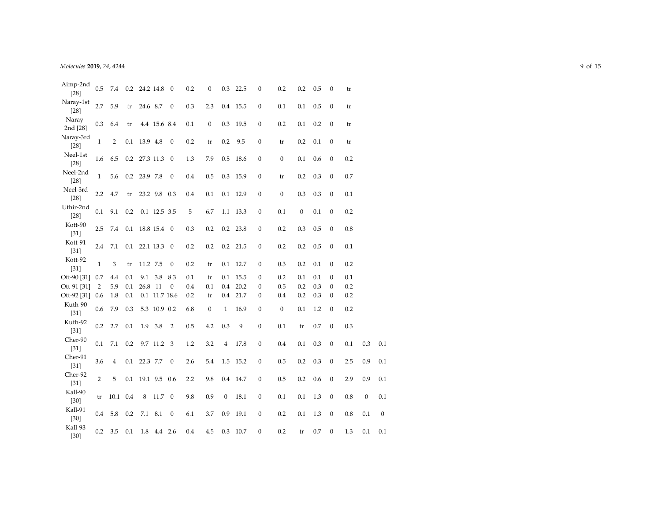| Aimp-2nd<br>$[28]$  | 0.5            | 7.4            | 0.2     | 24.2 14.8    |                 | $\mathbf{0}$     | 0.2 | $\theta$ | 0.3              | 22.5       | $\theta$         | 0.2              | 0.2              | 0.5 | $\theta$         | tr  |                  |                  |
|---------------------|----------------|----------------|---------|--------------|-----------------|------------------|-----|----------|------------------|------------|------------------|------------------|------------------|-----|------------------|-----|------------------|------------------|
| Naray-1st<br>$[28]$ | 2.7            | 5.9            | tr      | 24.6 8.7     |                 | $\mathbf{0}$     | 0.3 | 2.3      |                  | 0.4 15.5   | $\mathbf{0}$     | 0.1              | 0.1              | 0.5 | $\mathbf{0}$     | tr  |                  |                  |
| Naray-<br>2nd [28]  | 0.3            | 6.4            | tr      |              | 4.4 15.6 8.4    |                  | 0.1 | 0        | 0.3              | 19.5       | $\mathbf{0}$     | 0.2              | 0.1              | 0.2 | $\boldsymbol{0}$ | tr  |                  |                  |
| Naray-3rd<br>$[28]$ | $\mathbf{1}$   | $\overline{2}$ | 0.1     | 13.9 4.8     |                 | $\boldsymbol{0}$ | 0.2 | tr       | 0.2              | 9.5        | $\boldsymbol{0}$ | tr               | 0.2              | 0.1 | $\mathbf{0}$     | tr  |                  |                  |
| Neel-1st<br>$[28]$  | 1.6            | 6.5            | $0.2\,$ | 27.3 11.3    |                 | $\mathbf{0}$     | 1.3 | 7.9      | 0.5              | 18.6       | 0                | $\boldsymbol{0}$ | 0.1              | 0.6 | $\boldsymbol{0}$ | 0.2 |                  |                  |
| Neel-2nd<br>$[28]$  | $\mathbf{1}$   | 5.6            | 0.2     | 23.9 7.8     |                 | $\boldsymbol{0}$ | 0.4 | 0.5      | 0.3              | 15.9       | $\boldsymbol{0}$ | tr               | 0.2              | 0.3 | $\boldsymbol{0}$ | 0.7 |                  |                  |
| Neel-3rd<br>$[28]$  | 2.2            | 4.7            | tr      | 23.2 9.8 0.3 |                 |                  | 0.4 | 0.1      |                  | $0.1$ 12.9 | $\mathbf{0}$     | $\mathbf{0}$     | 0.3              | 0.3 | $\mathbf{0}$     | 0.1 |                  |                  |
| Uthir-2nd<br>$[28]$ | 0.1            | 9.1            | 0.2     |              | $0.1$ 12.5 3.5  |                  | 5   | 6.7      | 1.1              | 13.3       | $\boldsymbol{0}$ | 0.1              | $\boldsymbol{0}$ | 0.1 | $\boldsymbol{0}$ | 0.2 |                  |                  |
| Kott-90<br>$[31]$   | 2.5            | 7.4            | 0.1     | 18.8 15.4    |                 | $\mathbf{0}$     | 0.3 | 0.2      | 0.2              | 23.8       | $\boldsymbol{0}$ | 0.2              | 0.3              | 0.5 | $\boldsymbol{0}$ | 0.8 |                  |                  |
| Kott-91<br>$[31]$   | 2.4            | 7.1            | $0.1\,$ | 22.1 13.3    |                 | - 0              | 0.2 | 0.2      |                  | $0.2$ 21.5 | 0                | 0.2              | 0.2              | 0.5 | $\boldsymbol{0}$ | 0.1 |                  |                  |
| Kott-92<br>$[31]$   | $\mathbf{1}$   | 3              | tr      | 11.2 7.5     |                 | $\mathbf{0}$     | 0.2 | tr       | 0.1              | 12.7       | 0                | 0.3              | 0.2              | 0.1 | 0                | 0.2 |                  |                  |
| Ott-90 [31]         | 0.7            | 4.4            | 0.1     | 9.1          | 3.8             | 8.3              | 0.1 | tr       | 0.1              | 15.5       | $\mathbf{0}$     | 0.2              | 0.1              | 0.1 | $\mathbf{0}$     | 0.1 |                  |                  |
| Ott-91 [31]         | $\overline{2}$ | 5.9            | 0.1     | 26.8         | -11             | 0                | 0.4 | 0.1      | 0.4              | 20.2       | 0                | 0.5              | 0.2              | 0.3 | 0                | 0.2 |                  |                  |
| Ott-92 [31]         | 0.6            | 1.8            | 0.1     |              | $0.1$ 11.7 18.6 |                  | 0.2 | tr       | 0.4              | 21.7       | $\mathbf{0}$     | 0.4              | 0.2              | 0.3 | 0                | 0.2 |                  |                  |
| Kuth-90<br>$[31]$   | 0.6            | 7.9            | 0.3     |              | 5.3 10.9 0.2    |                  | 6.8 | 0        | 1                | 16.9       | 0                | $\boldsymbol{0}$ | 0.1              | 1.2 | 0                | 0.2 |                  |                  |
| Kuth-92<br>$[31]$   | 0.2            | 2.7            | 0.1     | 1.9          | 3.8             | $\overline{2}$   | 0.5 | 4.2      | 0.3              | 9          | $\mathbf{0}$     | 0.1              | tr               | 0.7 | $\mathbf{0}$     | 0.3 |                  |                  |
| Cher-90<br>$[31]$   | 0.1            | 7.1            | 0.2     | 9.7 11.2     |                 | 3                | 1.2 | 3.2      | 4                | 17.8       | $\mathbf{0}$     | 0.4              | 0.1              | 0.3 | $\mathbf{0}$     | 0.1 | 0.3              | 0.1              |
| Cher-91<br>$[31]$   | 3.6            | 4              |         | 0.1 22.3 7.7 |                 | $\mathbf{0}$     | 2.6 | 5.4      | 1.5              | 15.2       | $\boldsymbol{0}$ | 0.5              | 0.2              | 0.3 | $\boldsymbol{0}$ | 2.5 | 0.9              | 0.1              |
| Cher-92<br>$[31]$   | $\overline{2}$ | 5              | 0.1     | 19.1 9.5     |                 | 0.6              | 2.2 | 9.8      |                  | 0.4 14.7   | 0                | 0.5              | 0.2              | 0.6 | $\boldsymbol{0}$ | 2.9 | 0.9              | 0.1              |
| Kall-90<br>$[30]$   | tr             | 10.1           | 0.4     | 8            | 11.7            | $\mathbf{0}$     | 9.8 | 0.9      | $\boldsymbol{0}$ | 18.1       | 0                | 0.1              | 0.1              | 1.3 | $\boldsymbol{0}$ | 0.8 | $\boldsymbol{0}$ | 0.1              |
| Kall-91<br>$[30]$   | 0.4            | 5.8            | 0.2     | 7.1 8.1      |                 | $\boldsymbol{0}$ | 6.1 | 3.7      | 0.9              | 19.1       | 0                | 0.2              | 0.1              | 1.3 | $\boldsymbol{0}$ | 0.8 | 0.1              | $\boldsymbol{0}$ |
| Kall-93<br>$[30]$   | 0.2            | 3.5            | 0.1     |              | 1.8 4.4 2.6     |                  | 0.4 | 4.5      |                  | 0.3 10.7   | $\mathbf{0}$     | 0.2              | tr               | 0.7 | $\boldsymbol{0}$ | 1.3 | 0.1              | 0.1              |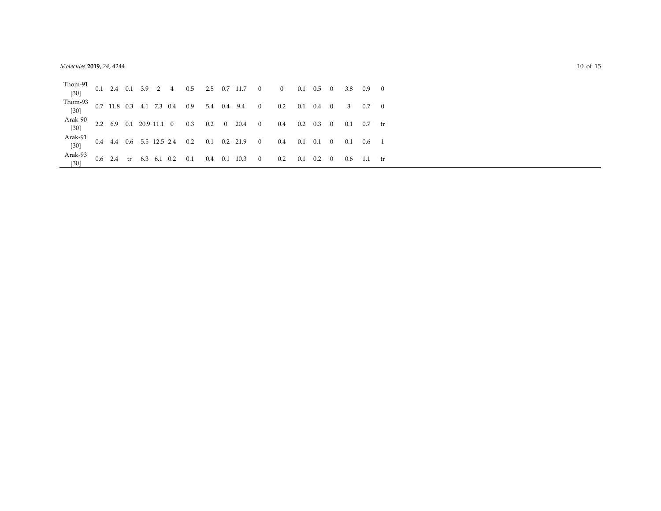| Thom-91<br>[30] |  |  |  | $0.1 \quad 2.4 \quad 0.1 \quad 3.9 \quad 2 \quad 4 \qquad 0.5 \qquad 2.5 \quad 0.7 \quad 11.7 \qquad 0 \qquad \qquad 0 \qquad 0.1 \quad 0.5 \quad 0 \qquad 3.8 \quad 0.9 \qquad 0$ |  |  |  |  |                |               |  |
|-----------------|--|--|--|------------------------------------------------------------------------------------------------------------------------------------------------------------------------------------|--|--|--|--|----------------|---------------|--|
| Thom-93<br>[30] |  |  |  | $0.7 \quad 11.8 \quad 0.3 \quad 4.1 \quad 7.3 \quad 0.4 \qquad 0.9 \qquad 5.4 \quad 0.4 \quad 9.4 \qquad 0 \qquad 0.2 \qquad 0.1 \quad 0.4 \quad 0 \qquad 3 \qquad 0.7 \qquad 0$   |  |  |  |  |                |               |  |
| Arak-90<br>[30] |  |  |  | 2.2 6.9 0.1 20.9 11.1 0 0.3 0.2 0 20.4 0 0.4 0.2 0.3 0                                                                                                                             |  |  |  |  | $0.1$ $0.7$ tr |               |  |
| Arak-91<br>[30] |  |  |  | 0.4 4.4 0.6 5.5 12.5 2.4 0.2 0.1 0.2 21.9 0 0.4 0.1 0.1 0                                                                                                                          |  |  |  |  | 0.1            | $0.6 \quad 1$ |  |
| Arak-93         |  |  |  | $0.6 \quad 2.4 \quad \text{tr} \quad 6.3 \quad 6.1 \quad 0.2 \qquad 0.1 \qquad 0.4 \quad 0.1 \quad 10.3 \qquad 0 \qquad \quad 0.2 \qquad 0.1 \quad 0.2 \qquad 0$                   |  |  |  |  | $0.6^{\circ}$  | 1.1 tr        |  |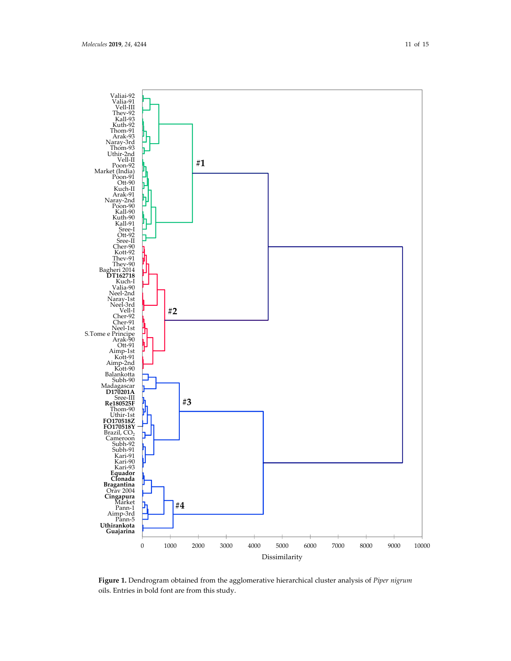

**Figure 1.** Dendrogram obtained from the agglomerative hierarchical cluster analysis of *Piper nigrum*  oils. Entries in bold font are from this study.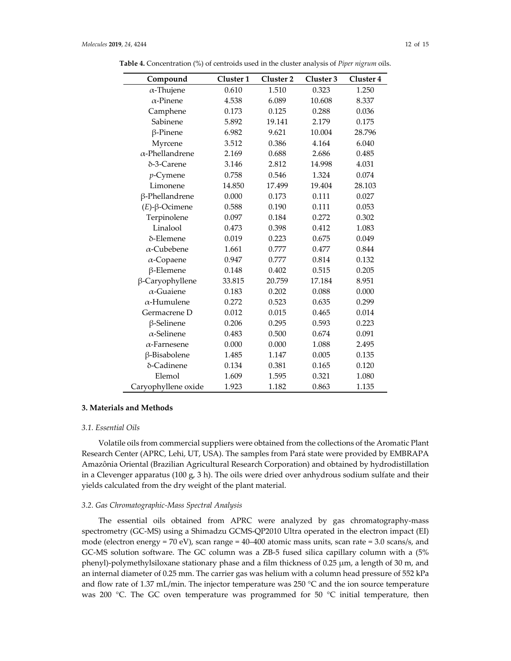| Compound                 | Cluster 1 | Cluster <sub>2</sub> | Cluster 3 | Cluster 4 |
|--------------------------|-----------|----------------------|-----------|-----------|
| $\alpha$ -Thujene        | 0.610     | 1.510                | 0.323     | 1.250     |
| $\alpha$ -Pinene         | 4.538     | 6.089                | 10.608    | 8.337     |
| Camphene                 | 0.173     | 0.125                | 0.288     | 0.036     |
| Sabinene                 | 5.892     | 19.141               | 2.179     | 0.175     |
| $\beta$ -Pinene          | 6.982     | 9.621                | 10.004    | 28.796    |
| Myrcene                  | 3.512     | 0.386                | 4.164     | 6.040     |
| $\alpha$ -Phellandrene   | 2.169     | 0.688                | 2.686     | 0.485     |
| δ-3-Carene               | 3.146     | 2.812                | 14.998    | 4.031     |
| $p$ -Cymene              | 0.758     | 0.546                | 1.324     | 0.074     |
| Limonene                 | 14.850    | 17.499               | 19.404    | 28.103    |
| β-Phellandrene           | 0.000     | 0.173                | 0.111     | 0.027     |
| $(E)$ - $\beta$ -Ocimene | 0.588     | 0.190                | 0.111     | 0.053     |
| Terpinolene              | 0.097     | 0.184                | 0.272     | 0.302     |
| Linalool                 | 0.473     | 0.398                | 0.412     | 1.083     |
| δ-Elemene                | 0.019     | 0.223                | 0.675     | 0.049     |
| $\alpha$ -Cubebene       | 1.661     | 0.777                | 0.477     | 0.844     |
| $\alpha$ -Copaene        | 0.947     | 0.777                | 0.814     | 0.132     |
| $\beta$ -Elemene         | 0.148     | 0.402                | 0.515     | 0.205     |
| β-Caryophyllene          | 33.815    | 20.759               | 17.184    | 8.951     |
| $\alpha$ -Guaiene        | 0.183     | 0.202                | 0.088     | 0.000     |
| $\alpha$ -Humulene       | 0.272     | 0.523                | 0.635     | 0.299     |
| Germacrene D             | 0.012     | 0.015                | 0.465     | 0.014     |
| $\beta$ -Selinene        | 0.206     | 0.295                | 0.593     | 0.223     |
| $\alpha$ -Selinene       | 0.483     | 0.500                | 0.674     | 0.091     |
| $\alpha$ -Farnesene      | 0.000     | 0.000                | 1.088     | 2.495     |
| β-Bisabolene             | 1.485     | 1.147                | 0.005     | 0.135     |
| δ-Cadinene               | 0.134     | 0.381                | 0.165     | 0.120     |
| Elemol                   | 1.609     | 1.595                | 0.321     | 1.080     |
| Caryophyllene oxide      | 1.923     | 1.182                | 0.863     | 1.135     |

**Table 4.** Concentration (%) of centroids used in the cluster analysis of *Piper nigrum* oils.

# **3. Materials and Methods**

# *3.1. Essential Oils*

Volatile oils from commercial suppliers were obtained from the collections of the Aromatic Plant Research Center (APRC, Lehi, UT, USA). The samples from Pará state were provided by EMBRAPA Amazônia Oriental (Brazilian Agricultural Research Corporation) and obtained by hydrodistillation in a Clevenger apparatus (100  $g$ , 3 h). The oils were dried over anhydrous sodium sulfate and their yields calculated from the dry weight of the plant material.

## *3.2. Gas Chromatographic-Mass Spectral Analysis*

The essential oils obtained from APRC were analyzed by gas chromatography-mass spectrometry (GC-MS) using a Shimadzu GCMS-QP2010 Ultra operated in the electron impact (EI) mode (electron energy = 70 eV), scan range = 40–400 atomic mass units, scan rate = 3.0 scans/s, and GC-MS solution software. The GC column was a ZB-5 fused silica capillary column with a (5% phenyl)-polymethylsiloxane stationary phase and a film thickness of 0.25 µm, a length of 30 m, and an internal diameter of 0.25 mm. The carrier gas was helium with a column head pressure of 552 kPa and flow rate of 1.37 mL/min. The injector temperature was 250 °C and the ion source temperature was 200 °C. The GC oven temperature was programmed for 50 °C initial temperature, then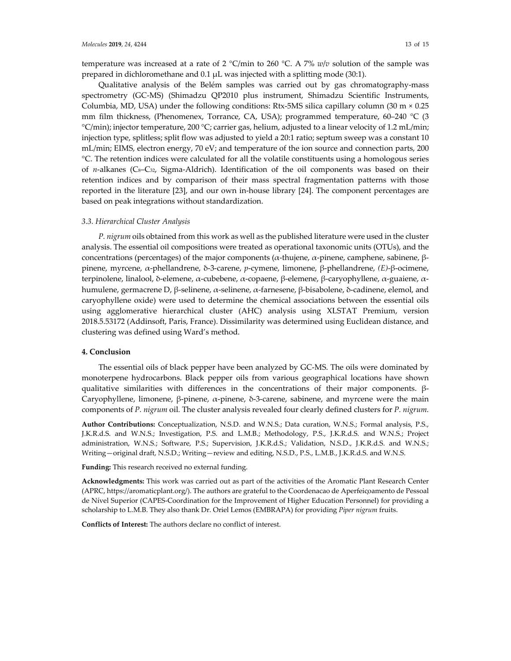temperature was increased at a rate of 2 °C/min to 260 °C. A 7% *w*/*v* solution of the sample was prepared in dichloromethane and  $0.1 \mu L$  was injected with a splitting mode (30:1).

Qualitative analysis of the Belém samples was carried out by gas chromatography-mass spectrometry (GC-MS) (Shimadzu QP2010 plus instrument, Shimadzu Scientific Instruments, Columbia, MD, USA) under the following conditions: Rtx-5MS silica capillary column (30 m  $\times$  0.25 mm film thickness, (Phenomenex, Torrance, CA, USA); programmed temperature, 60–240 °C (3 °C/min); injector temperature, 200 °C; carrier gas, helium, adjusted to a linear velocity of 1.2 mL/min; injection type, splitless; split flow was adjusted to yield a 20:1 ratio; septum sweep was a constant 10 mL/min; EIMS, electron energy, 70 eV; and temperature of the ion source and connection parts, 200 °C. The retention indices were calculated for all the volatile constituents using a homologous series of *n*-alkanes (C8–C32, Sigma-Aldrich). Identification of the oil components was based on their retention indices and by comparison of their mass spectral fragmentation patterns with those reported in the literature [23], and our own in-house library [24]. The component percentages are based on peak integrations without standardization.

#### *3.3. Hierarchical Cluster Analysis*

*P. nigrum* oils obtained from this work as well as the published literature were used in the cluster analysis. The essential oil compositions were treated as operational taxonomic units (OTUs), and the concentrations (percentages) of the major components (α-thujene, α-pinene, camphene, sabinene, βpinene, myrcene, α-phellandrene, δ-3-carene, *p*-cymene, limonene, β-phellandrene, *(E)*-β-ocimene, terpinolene, linalool, δ-elemene, α-cubebene, α-copaene, β-elemene, β-caryophyllene, α-guaiene, αhumulene, germacrene D, β-selinene, α-selinene, α-farnesene, β-bisabolene, δ-cadinene, elemol, and caryophyllene oxide) were used to determine the chemical associations between the essential oils using agglomerative hierarchical cluster (AHC) analysis using XLSTAT Premium, version 2018.5.53172 (Addinsoft, Paris, France). Dissimilarity was determined using Euclidean distance, and clustering was defined using Ward's method.

### **4. Conclusion**

The essential oils of black pepper have been analyzed by GC-MS. The oils were dominated by monoterpene hydrocarbons. Black pepper oils from various geographical locations have shown qualitative similarities with differences in the concentrations of their major components. β-Caryophyllene, limonene, β-pinene, α-pinene, δ-3-carene, sabinene, and myrcene were the main components of *P. nigrum* oil*.* The cluster analysis revealed four clearly defined clusters for *P. nigrum.*

**Author Contributions:** Conceptualization, N.S.D. and W.N.S.; Data curation, W.N.S.; Formal analysis, P.S., J.K.R.d.S. and W.N.S.; Investigation, P.S. and L.M.B.; Methodology, P.S., J.K.R.d.S. and W.N.S.; Project administration, W.N.S.; Software, P.S.; Supervision, J.K.R.d.S.; Validation, N.S.D., J.K.R.d.S. and W.N.S.; Writing—original draft, N.S.D.; Writing—review and editing, N.S.D., P.S., L.M.B., J.K.R.d.S. and W.N.S.

#### **Funding:** This research received no external funding.

**Acknowledgments:** This work was carried out as part of the activities of the Aromatic Plant Research Center (APRC, https://aromaticplant.org/). The authors are grateful to the Coordenacao de Aperfeiçoamento de Pessoal de Nível Superior (CAPES-Coordination for the Improvement of Higher Education Personnel) for providing a scholarship to L.M.B. They also thank Dr. Oriel Lemos (EMBRAPA) for providing *Piper nigrum* fruits.

**Conflicts of Interest:** The authors declare no conflict of interest.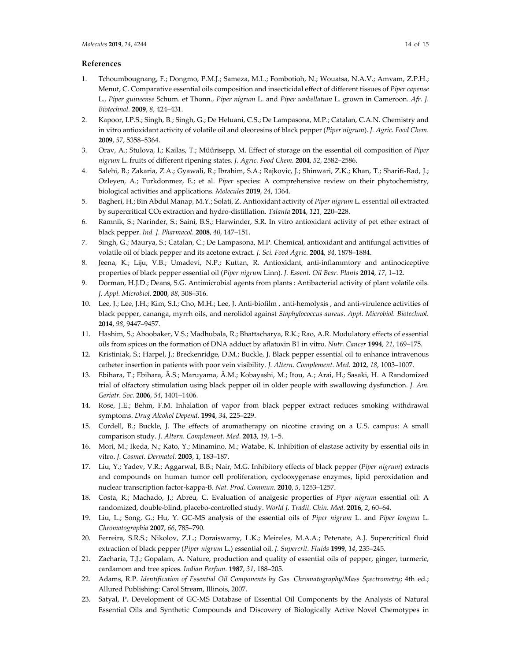# **References**

- 1. Tchoumbougnang, F.; Dongmo, P.M.J.; Sameza, M.L.; Fombotioh, N.; Wouatsa, N.A.V.; Amvam, Z.P.H.; Menut, C. Comparative essential oils composition and insecticidal effect of different tissues of *Piper capense* L., *Piper guineense* Schum. et Thonn., *Piper nigrum* L. and *Piper umbellatum* L. grown in Cameroon. *Afr. J. Biotechnol.* **2009**, *8*, 424–431.
- 2. Kapoor, I.P.S.; Singh, B.; Singh, G.; De Heluani, C.S.; De Lampasona, M.P.; Catalan, C.A.N. Chemistry and in vitro antioxidant activity of volatile oil and oleoresins of black pepper (*Piper nigrum*). *J. Agric. Food Chem.* **2009**, *57*, 5358–5364.
- 3. Orav, A.; Stulova, I.; Kailas, T.; Müürisepp, M. Effect of storage on the essential oil composition of *Piper nigrum* L. fruits of different ripening states. *J. Agric. Food Chem.* **2004**, *52*, 2582–2586.
- 4. Salehi, B.; Zakaria, Z.A.; Gyawali, R.; Ibrahim, S.A.; Rajkovic, J.; Shinwari, Z.K.; Khan, T.; Sharifi-Rad, J.; Ozleyen, A.; Turkdonmez, E.; et al. *Piper* species: A comprehensive review on their phytochemistry, biological activities and applications. *Molecules* **2019**, *24*, 1364.
- 5. Bagheri, H.; Bin Abdul Manap, M.Y.; Solati, Z. Antioxidant activity of *Piper nigrum* L. essential oil extracted by supercritical CO2 extraction and hydro-distillation. *Talanta* **2014**, *121*, 220–228.
- 6. Ramnik, S.; Narinder, S.; Saini, B.S.; Harwinder, S.R. In vitro antioxidant activity of pet ether extract of black pepper. *Ind. J. Pharmacol.* **2008**, *40*, 147–151.
- 7. Singh, G.; Maurya, S.; Catalan, C.; De Lampasona, M.P. Chemical, antioxidant and antifungal activities of volatile oil of black pepper and its acetone extract. *J. Sci. Food Agric.* **2004**, *84*, 1878–1884.
- 8. Jeena, K.; Liju, V.B.; Umadevi, N.P.; Kuttan, R. Antioxidant, anti-inflammtory and antinociceptive properties of black pepper essential oil (*Piper nigrum* Linn). *J. Essent. Oil Bear. Plants* **2014**, *17*, 1–12.
- 9. Dorman, H.J.D.; Deans, S.G. Antimicrobial agents from plants : Antibacterial activity of plant volatile oils. *J. Appl. Microbiol.* **2000**, *88*, 308–316.
- 10. Lee, J.; Lee, J.H.; Kim, S.I.; Cho, M.H.; Lee, J. Anti-biofilm , anti-hemolysis , and anti-virulence activities of black pepper, cananga, myrrh oils, and nerolidol against *Staphylococcus aureus*. *Appl. Microbiol. Biotechnol.* **2014**, *98*, 9447–9457.
- 11. Hashim, S.; Aboobaker, V.S.; Madhubala, R.; Bhattacharya, R.K.; Rao, A.R. Modulatory effects of essential oils from spices on the formation of DNA adduct by aflatoxin B1 in vitro. *Nutr. Cancer* **1994**, *21*, 169–175.
- 12. Kristiniak, S.; Harpel, J.; Breckenridge, D.M.; Buckle, J. Black pepper essential oil to enhance intravenous catheter insertion in patients with poor vein visibility. *J. Altern. Complement. Med.* **2012**, *18*, 1003–1007.
- 13. Ebihara, T.; Ebihara, Ã.S.; Maruyama, Ã.M.; Kobayashi, M.; Itou, A.; Arai, H.; Sasaki, H. A Randomized trial of olfactory stimulation using black pepper oil in older people with swallowing dysfunction. *J. Am. Geriatr. Soc.* **2006**, *54*, 1401–1406.
- 14. Rose, J.E.; Behm, F.M. Inhalation of vapor from black pepper extract reduces smoking withdrawal symptoms. *Drug Alcohol Depend.* **1994**, *34*, 225–229.
- 15. Cordell, B.; Buckle, J. The effects of aromatherapy on nicotine craving on a U.S. campus: A small comparison study. *J. Altern. Complement. Med.* **2013**, *19*, 1–5.
- 16. Mori, M.; Ikeda, N.; Kato, Y.; Minamino, M.; Watabe, K. Inhibition of elastase activity by essential oils in vitro. *J. Cosmet. Dermatol.* **2003**, *1*, 183–187.
- 17. Liu, Y.; Yadev, V.R.; Aggarwal, B.B.; Nair, M.G. Inhibitory effects of black pepper (*Piper nigrum*) extracts and compounds on human tumor cell proliferation, cyclooxygenase enzymes, lipid peroxidation and nuclear transcription factor-kappa-B. *Nat. Prod. Commun.* **2010**, *5*, 1253–1257.
- 18. Costa, R.; Machado, J.; Abreu, C. Evaluation of analgesic properties of *Piper nigrum* essential oil: A randomized, double-blind, placebo-controlled study. *World J. Tradit. Chin. Med.* **2016**, *2*, 60–64.
- 19. Liu, L.; Song, G.; Hu, Y. GC-MS analysis of the essential oils of *Piper nigrum* L. and *Piper longum* L. *Chromatographia* **2007**, *66*, 785–790.
- 20. Ferreira, S.R.S.; Nikolov, Z.L.; Doraiswamy, L.K.; Meireles, M.A.A.; Petenate, A.J. Supercritical fluid extraction of black pepper (*Piper nigrum* L.) essential oil. *J. Supercrit. Fluids* **1999**, *14*, 235–245.
- 21. Zacharia, T.J.; Gopalam, A. Nature, production and quality of essential oils of pepper, ginger, turmeric, cardamom and tree spices. *Indian Perfum.* **1987**, *31*, 188–205.
- 22. Adams, R.P. *Identification of Essential Oil Components by Gas. Chromatography/Mass Spectrometry*; 4th ed.; Allured Publishing: Carol Stream, Illinois, 2007.
- 23. Satyal, P. Development of GC-MS Database of Essential Oil Components by the Analysis of Natural Essential Oils and Synthetic Compounds and Discovery of Biologically Active Novel Chemotypes in